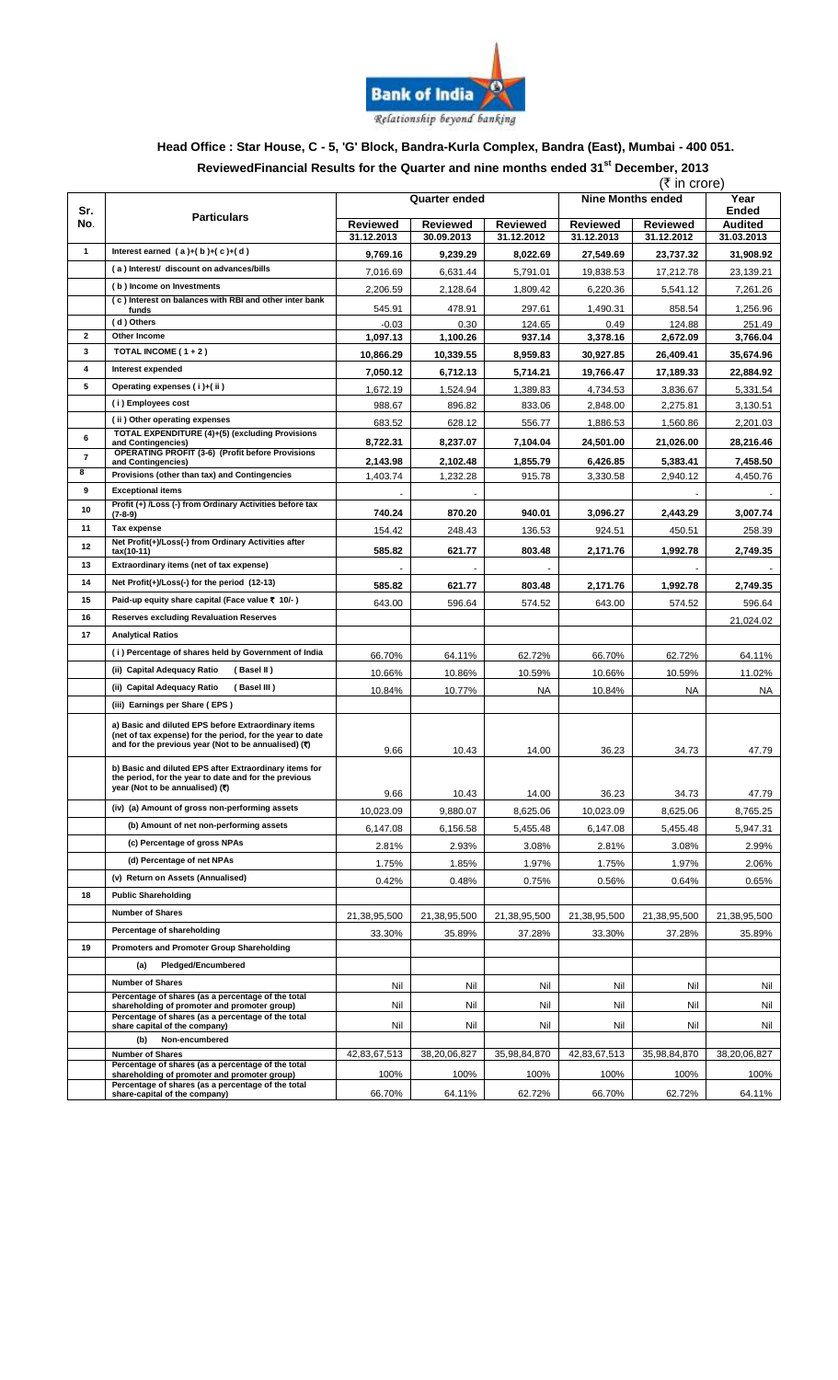

### **Head Office : Star House, C - 5, 'G' Block, Bandra-Kurla Complex, Bandra (East), Mumbai - 400 051. ReviewedFinancial Results for the Quarter and nine months ended 31 st December, 2013**

|                   |                                                                                                                                                                          | (₹ in crore)         |                 |                 |                                           |                 |                |
|-------------------|--------------------------------------------------------------------------------------------------------------------------------------------------------------------------|----------------------|-----------------|-----------------|-------------------------------------------|-----------------|----------------|
| Sr.               |                                                                                                                                                                          | <b>Quarter ended</b> |                 |                 | <b>Nine Months ended</b><br>Year<br>Ended |                 |                |
| No.               | <b>Particulars</b>                                                                                                                                                       | <b>Reviewed</b>      | <b>Reviewed</b> | <b>Reviewed</b> | <b>Reviewed</b>                           | <b>Reviewed</b> | <b>Audited</b> |
|                   |                                                                                                                                                                          | 31.12.2013           | 30.09.2013      | 31.12.2012      | 31.12.2013                                | 31.12.2012      | 31.03.2013     |
| $\mathbf{1}$      | Interest earned $(a)+(b)+(c)+(d)$                                                                                                                                        | 9,769.16             | 9,239.29        | 8,022.69        | 27,549.69                                 | 23,737.32       | 31,908.92      |
|                   | (a) Interest/ discount on advances/bills                                                                                                                                 | 7,016.69             | 6,631.44        | 5,791.01        | 19,838.53                                 | 17,212.78       | 23,139.21      |
|                   | (b) Income on Investments<br>(c) Interest on balances with RBI and other inter bank                                                                                      | 2,206.59             | 2,128.64        | 1,809.42        | 6,220.36                                  | 5,541.12        | 7,261.26       |
|                   | funds                                                                                                                                                                    | 545.91               | 478.91          | 297.61          | 1,490.31                                  | 858.54          | 1,256.96       |
|                   | (d) Others                                                                                                                                                               | $-0.03$              | 0.30            | 124.65          | 0.49                                      | 124.88          | 251.49         |
| $\mathbf{2}$<br>3 | Other Income<br>TOTAL INCOME ( $1 + 2$ )                                                                                                                                 | 1,097.13             | 1,100.26        | 937.14          | 3,378.16                                  | 2,672.09        | 3,766.04       |
| 4                 | Interest expended                                                                                                                                                        | 10,866.29            | 10,339.55       | 8,959.83        | 30,927.85                                 | 26,409.41       | 35,674.96      |
| 5                 |                                                                                                                                                                          | 7,050.12             | 6,712.13        | 5,714.21        | 19,766.47                                 | 17,189.33       | 22,884.92      |
|                   | Operating expenses (i)+(ii)<br>(i) Employees cost                                                                                                                        | 1,672.19             | 1,524.94        | 1,389.83        | 4,734.53                                  | 3,836.67        | 5,331.54       |
|                   | (ii) Other operating expenses                                                                                                                                            | 988.67               | 896.82          | 833.06          | 2,848.00                                  | 2,275.81        | 3,130.51       |
|                   | TOTAL EXPENDITURE (4)+(5) (excluding Provisions                                                                                                                          | 683.52               | 628.12          | 556.77          | 1,886.53                                  | 1,560.86        | 2,201.03       |
| 6                 | and Contingencies)<br><b>OPERATING PROFIT (3-6) (Profit before Provisions</b>                                                                                            | 8,722.31             | 8,237.07        | 7,104.04        | 24,501.00                                 | 21,026.00       | 28,216.46      |
| $\overline{7}$    | and Contingencies)                                                                                                                                                       | 2,143.98             | 2,102.48        | 1,855.79        | 6,426.85                                  | 5,383.41        | 7,458.50       |
| 8                 | Provisions (other than tax) and Contingencies                                                                                                                            | 1,403.74             | 1,232.28        | 915.78          | 3,330.58                                  | 2,940.12        | 4,450.76       |
| 9                 | <b>Exceptional items</b><br>Profit (+) /Loss (-) from Ordinary Activities before tax                                                                                     |                      |                 |                 |                                           |                 |                |
| 10                | $(7-8-9)$                                                                                                                                                                | 740.24               | 870.20          | 940.01          | 3,096.27                                  | 2,443.29        | 3,007.74       |
| 11                | Tax expense                                                                                                                                                              | 154.42               | 248.43          | 136.53          | 924.51                                    | 450.51          | 258.39         |
| 12                | Net Profit(+)/Loss(-) from Ordinary Activities after<br>tax(10-11)                                                                                                       | 585.82               | 621.77          | 803.48          | 2,171.76                                  | 1,992.78        | 2,749.35       |
| 13                | Extraordinary items (net of tax expense)                                                                                                                                 |                      |                 |                 |                                           |                 |                |
| 14                | Net Profit(+)/Loss(-) for the period (12-13)                                                                                                                             | 585.82               | 621.77          | 803.48          | 2,171.76                                  | 1,992.78        | 2,749.35       |
| 15                | Paid-up equity share capital (Face value ₹ 10/-)                                                                                                                         | 643.00               | 596.64          | 574.52          | 643.00                                    | 574.52          | 596.64         |
| 16                | <b>Reserves excluding Revaluation Reserves</b>                                                                                                                           |                      |                 |                 |                                           |                 | 21,024.02      |
| 17                | <b>Analytical Ratios</b>                                                                                                                                                 |                      |                 |                 |                                           |                 |                |
|                   | (i) Percentage of shares held by Government of India                                                                                                                     | 66.70%               | 64.11%          | 62.72%          | 66.70%                                    | 62.72%          | 64.11%         |
|                   | (ii) Capital Adequacy Ratio<br>(Basel II)                                                                                                                                | 10.66%               | 10.86%          | 10.59%          | 10.66%                                    | 10.59%          | 11.02%         |
|                   | (ii) Capital Adequacy Ratio<br>(Basel III )                                                                                                                              | 10.84%               | 10.77%          | <b>NA</b>       | 10.84%                                    | NA              | NA             |
|                   | (iii) Earnings per Share (EPS)                                                                                                                                           |                      |                 |                 |                                           |                 |                |
|                   | a) Basic and diluted EPS before Extraordinary items<br>(net of tax expense) for the period, for the year to date<br>and for the previous year (Not to be annualised) (₹) | 9.66                 | 10.43           | 14.00           | 36.23                                     | 34.73           | 47.79          |
|                   | b) Basic and diluted EPS after Extraordinary items for<br>the period, for the year to date and for the previous<br>vear (Not to be annualised) (₹)                       | 9.66                 | 10.43           | 14.00           | 36.23                                     | 34.73           | 47.79          |
|                   | (iv) (a) Amount of gross non-performing assets                                                                                                                           | 10,023.09            | 9,880.07        | 8,625.06        | 10,023.09                                 | 8,625.06        | 8,765.25       |
|                   | (b) Amount of net non-performing assets                                                                                                                                  | 6,147.08             | 6,156.58        | 5,455.48        | 6,147.08                                  | 5,455.48        | 5,947.31       |
|                   | (c) Percentage of gross NPAs                                                                                                                                             | 2.81%                | 2.93%           | 3.08%           | 2.81%                                     | 3.08%           | 2.99%          |
|                   | (d) Percentage of net NPAs                                                                                                                                               | 1.75%                | 1.85%           | 1.97%           | 1.75%                                     | 1.97%           | 2.06%          |
|                   | (v) Return on Assets (Annualised)                                                                                                                                        | 0.42%                | 0.48%           | 0.75%           | 0.56%                                     | 0.64%           | 0.65%          |
| 18                | <b>Public Shareholding</b>                                                                                                                                               |                      |                 |                 |                                           |                 |                |
|                   | <b>Number of Shares</b>                                                                                                                                                  | 21,38,95,500         | 21,38,95,500    | 21,38,95,500    | 21,38,95,500                              | 21,38,95,500    | 21,38,95,500   |
|                   | Percentage of shareholding                                                                                                                                               | 33.30%               | 35.89%          | 37.28%          | 33.30%                                    | 37.28%          | 35.89%         |
| 19                | Promoters and Promoter Group Shareholding                                                                                                                                |                      |                 |                 |                                           |                 |                |
|                   | Pledged/Encumbered<br>(a)                                                                                                                                                |                      |                 |                 |                                           |                 |                |
|                   | <b>Number of Shares</b>                                                                                                                                                  |                      |                 |                 |                                           |                 |                |
|                   | Percentage of shares (as a percentage of the total                                                                                                                       | Nil                  | Nil             | Nil             | Nil                                       | Nil             | Nil            |
|                   | shareholding of promoter and promoter group)<br>Percentage of shares (as a percentage of the total<br>share capital of the company)                                      | Nil<br>Nil           | Nil<br>Nil      | Nil<br>Nil      | Nil<br>Nil                                | Nil<br>Nil      | Nil<br>Nil     |
|                   | Non-encumbered<br>(b)                                                                                                                                                    |                      |                 |                 |                                           |                 |                |
|                   | <b>Number of Shares</b>                                                                                                                                                  | 42,83,67,513         | 38,20,06,827    | 35,98,84,870    | 42,83,67,513                              | 35,98,84,870    | 38,20,06,827   |
|                   | Percentage of shares (as a percentage of the total<br>shareholding of promoter and promoter group)                                                                       | 100%                 | 100%            | 100%            | 100%                                      | 100%            | 100%           |
|                   | Percentage of shares (as a percentage of the total<br>share-capital of the company)                                                                                      | 66.70%               | 64.11%          | 62.72%          | 66.70%                                    | 62.72%          | 64.11%         |
|                   |                                                                                                                                                                          |                      |                 |                 |                                           |                 |                |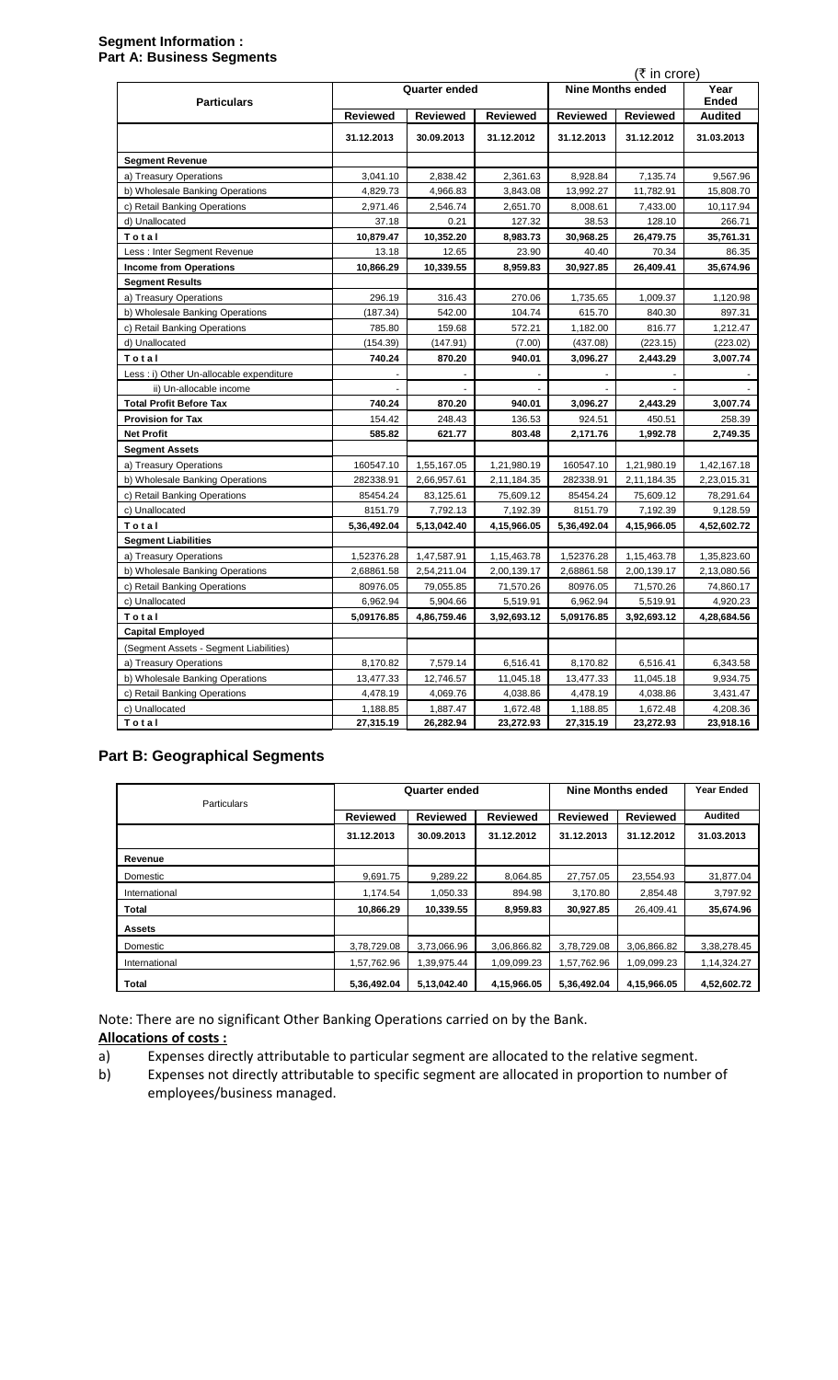### **Segment Information : Part A: Business Segments**

|                                          |                 |                      |                 |                 | (₹ in crore)             | Year                    |
|------------------------------------------|-----------------|----------------------|-----------------|-----------------|--------------------------|-------------------------|
| <b>Particulars</b>                       |                 | <b>Quarter ended</b> |                 |                 | <b>Nine Months ended</b> |                         |
|                                          | <b>Reviewed</b> | <b>Reviewed</b>      | <b>Reviewed</b> | <b>Reviewed</b> | <b>Reviewed</b>          | Ended<br><b>Audited</b> |
|                                          | 31.12.2013      | 30.09.2013           | 31.12.2012      | 31.12.2013      | 31.12.2012               | 31.03.2013              |
| <b>Segment Revenue</b>                   |                 |                      |                 |                 |                          |                         |
| a) Treasury Operations                   | 3,041.10        | 2,838.42             | 2,361.63        | 8,928.84        | 7,135.74                 | 9,567.96                |
| b) Wholesale Banking Operations          | 4,829.73        | 4,966.83             | 3,843.08        | 13,992.27       | 11,782.91                | 15,808.70               |
| c) Retail Banking Operations             | 2,971.46        | 2,546.74             | 2,651.70        | 8,008.61        | 7,433.00                 | 10,117.94               |
| d) Unallocated                           | 37.18           | 0.21                 | 127.32          | 38.53           | 128.10                   | 266.71                  |
| Total                                    | 10,879.47       | 10,352.20            | 8,983.73        | 30,968.25       | 26,479.75                | 35,761.31               |
| Less: Inter Segment Revenue              | 13.18           | 12.65                | 23.90           | 40.40           | 70.34                    | 86.35                   |
| <b>Income from Operations</b>            | 10,866.29       | 10,339.55            | 8,959.83        | 30,927.85       | 26,409.41                | 35,674.96               |
| <b>Segment Results</b>                   |                 |                      |                 |                 |                          |                         |
| a) Treasury Operations                   | 296.19          | 316.43               | 270.06          | 1,735.65        | 1,009.37                 | 1,120.98                |
| b) Wholesale Banking Operations          | (187.34)        | 542.00               | 104.74          | 615.70          | 840.30                   | 897.31                  |
| c) Retail Banking Operations             | 785.80          | 159.68               | 572.21          | 1,182.00        | 816.77                   | 1,212.47                |
| d) Unallocated                           | (154.39)        | (147.91)             | (7.00)          | (437.08)        | (223.15)                 | (223.02)                |
| Total                                    | 740.24          | 870.20               | 940.01          | 3,096.27        | 2,443.29                 | 3,007.74                |
| Less : i) Other Un-allocable expenditure |                 |                      |                 |                 |                          |                         |
| ii) Un-allocable income                  |                 |                      |                 |                 |                          |                         |
| <b>Total Profit Before Tax</b>           | 740.24          | 870.20               | 940.01          | 3,096.27        | 2,443.29                 | 3,007.74                |
| <b>Provision for Tax</b>                 | 154.42          | 248.43               | 136.53          | 924.51          | 450.51                   | 258.39                  |
| <b>Net Profit</b>                        | 585.82          | 621.77               | 803.48          | 2,171.76        | 1,992.78                 | 2,749.35                |
| <b>Segment Assets</b>                    |                 |                      |                 |                 |                          |                         |
| a) Treasury Operations                   | 160547.10       | 1,55,167.05          | 1,21,980.19     | 160547.10       | 1,21,980.19              | 1,42,167.18             |
| b) Wholesale Banking Operations          | 282338.91       | 2,66,957.61          | 2,11,184.35     | 282338.91       | 2,11,184.35              | 2,23,015.31             |
| c) Retail Banking Operations             | 85454.24        | 83,125.61            | 75,609.12       | 85454.24        | 75,609.12                | 78,291.64               |
| c) Unallocated                           | 8151.79         | 7,792.13             | 7,192.39        | 8151.79         | 7,192.39                 | 9,128.59                |
| Total                                    | 5,36,492.04     | 5,13,042.40          | 4,15,966.05     | 5,36,492.04     | 4,15,966.05              | 4,52,602.72             |
| <b>Segment Liabilities</b>               |                 |                      |                 |                 |                          |                         |
| a) Treasury Operations                   | 1,52376.28      | 1,47,587.91          | 1,15,463.78     | 1,52376.28      | 1,15,463.78              | 1,35,823.60             |
| b) Wholesale Banking Operations          | 2,68861.58      | 2,54,211.04          | 2,00,139.17     | 2,68861.58      | 2,00,139.17              | 2,13,080.56             |
| c) Retail Banking Operations             | 80976.05        | 79,055.85            | 71,570.26       | 80976.05        | 71,570.26                | 74,860.17               |
| c) Unallocated                           | 6,962.94        | 5,904.66             | 5,519.91        | 6,962.94        | 5,519.91                 | 4,920.23                |
| Total                                    | 5,09176.85      | 4,86,759.46          | 3,92,693.12     | 5,09176.85      | 3,92,693.12              | 4,28,684.56             |
| <b>Capital Employed</b>                  |                 |                      |                 |                 |                          |                         |
| (Segment Assets - Segment Liabilities)   |                 |                      |                 |                 |                          |                         |
| a) Treasury Operations                   | 8,170.82        | 7,579.14             | 6,516.41        | 8,170.82        | 6,516.41                 | 6,343.58                |
| b) Wholesale Banking Operations          | 13,477.33       | 12,746.57            | 11,045.18       | 13,477.33       | 11,045.18                | 9,934.75                |
| c) Retail Banking Operations             | 4,478.19        | 4,069.76             | 4,038.86        | 4,478.19        | 4,038.86                 | 3,431.47                |
| c) Unallocated                           | 1,188.85        | 1,887.47             | 1,672.48        | 1,188.85        | 1,672.48                 | 4,208.36                |
| Total                                    | 27,315.19       | 26,282.94            | 23,272.93       | 27,315.19       | 23,272.93                | 23,918.16               |

# **Part B: Geographical Segments**

| <b>Particulars</b> |                 | Quarter ended   |                 |                 | <b>Nine Months ended</b> |                |
|--------------------|-----------------|-----------------|-----------------|-----------------|--------------------------|----------------|
|                    | <b>Reviewed</b> | <b>Reviewed</b> | <b>Reviewed</b> | <b>Reviewed</b> | <b>Reviewed</b>          | <b>Audited</b> |
|                    | 31.12.2013      | 30.09.2013      | 31.12.2012      | 31.12.2013      | 31.12.2012               | 31.03.2013     |
| Revenue            |                 |                 |                 |                 |                          |                |
| Domestic           | 9,691.75        | 9,289.22        | 8,064.85        | 27,757.05       | 23,554.93                | 31,877.04      |
| International      | 1,174.54        | 1.050.33        | 894.98          | 3.170.80        | 2.854.48                 | 3,797.92       |
| Total              | 10,866.29       | 10,339.55       | 8,959.83        | 30,927.85       | 26.409.41                | 35,674.96      |
| <b>Assets</b>      |                 |                 |                 |                 |                          |                |
| Domestic           | 3,78,729.08     | 3,73,066.96     | 3,06,866.82     | 3,78,729.08     | 3,06,866.82              | 3,38,278.45    |
| International      | 1,57,762.96     | 1,39,975.44     | 1,09,099.23     | 1,57,762.96     | 1,09,099.23              | 1,14,324.27    |
| Total              | 5,36,492.04     | 5,13,042.40     | 4,15,966.05     | 5,36,492.04     | 4,15,966.05              | 4,52,602.72    |

Note: There are no significant Other Banking Operations carried on by the Bank.

- **Allocations of costs:**<br>a) Expenses dire a) Expenses directly attributable to particular segment are allocated to the relative segment.<br>b) Expenses not directly attributable to specific segment are allocated in proportion to numbe
- Expenses not directly attributable to specific segment are allocated in proportion to number of employees/business managed.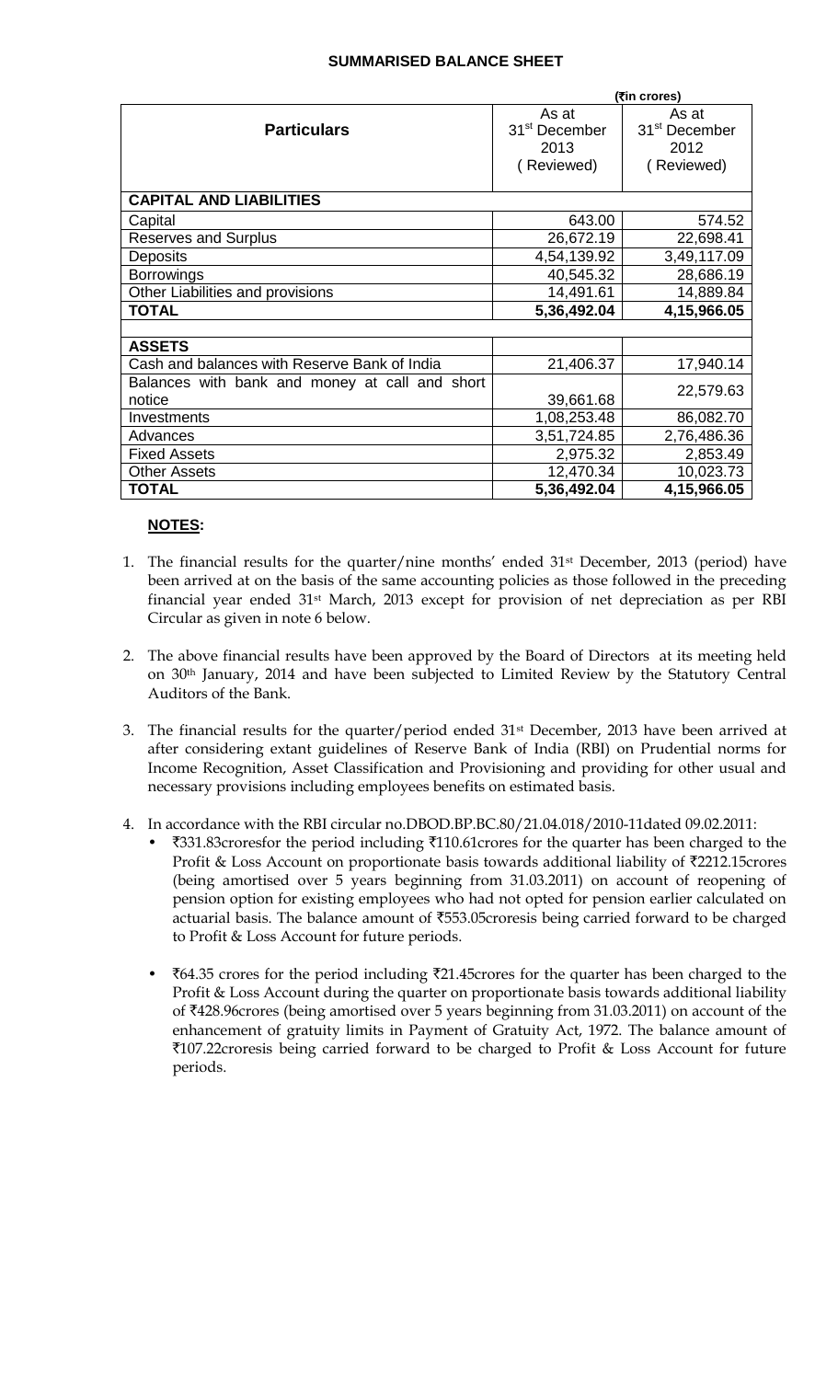### **SUMMARISED BALANCE SHEET**

|                                                | (₹in crores)              |                           |  |  |
|------------------------------------------------|---------------------------|---------------------------|--|--|
|                                                | As at                     | As at                     |  |  |
| <b>Particulars</b>                             | 31 <sup>st</sup> December | 31 <sup>st</sup> December |  |  |
|                                                | 2013                      | 2012                      |  |  |
|                                                | (Reviewed)                | (Reviewed)                |  |  |
|                                                |                           |                           |  |  |
| <b>CAPITAL AND LIABILITIES</b>                 |                           |                           |  |  |
| Capital                                        | 643.00                    | 574.52                    |  |  |
| <b>Reserves and Surplus</b>                    | 26,672.19                 | 22,698.41                 |  |  |
| <b>Deposits</b>                                | 4,54,139.92               | 3,49,117.09               |  |  |
| <b>Borrowings</b>                              | 40,545.32                 | 28,686.19                 |  |  |
| Other Liabilities and provisions               | 14,491.61                 | 14,889.84                 |  |  |
| <b>TOTAL</b>                                   | 5,36,492.04               | 4,15,966.05               |  |  |
|                                                |                           |                           |  |  |
| <b>ASSETS</b>                                  |                           |                           |  |  |
| Cash and balances with Reserve Bank of India   | 21,406.37                 | 17,940.14                 |  |  |
| Balances with bank and money at call and short |                           | 22,579.63                 |  |  |
| notice                                         | 39,661.68                 |                           |  |  |
| Investments                                    | 1,08,253.48               | 86,082.70                 |  |  |
| Advances                                       | 3,51,724.85               | 2,76,486.36               |  |  |
| <b>Fixed Assets</b>                            | 2,975.32                  | 2,853.49                  |  |  |
| <b>Other Assets</b>                            | 12,470.34                 | 10,023.73                 |  |  |
| <b>TOTAL</b>                                   | 5,36,492.04               | 4,15,966.05               |  |  |

## **NOTES:**

- 1. The financial results for the quarter/nine months' ended 31st December, 2013 (period) have been arrived at on the basis of the same accounting policies as those followed in the preceding financial year ended 31st March, 2013 except for provision of net depreciation as per RBI Circular as given in note 6 below.
- 2. The above financial results have been approved by the Board of Directors at its meeting held on 30th January, 2014 and have been subjected to Limited Review by the Statutory Central Auditors of the Bank.
- 3. The financial results for the quarter/period ended 31<sup>st</sup> December, 2013 have been arrived at after considering extant guidelines of Reserve Bank of India (RBI) on Prudential norms for Income Recognition, Asset Classification and Provisioning and providing for other usual and necessary provisions including employees benefits on estimated basis.
- 4. In accordance with the RBI circular no.DBOD.BP.BC.80/21.04.018/2010-11dated 09.02.2011:
	- ₹331.83croresfor the period including ₹110.61crores for the quarter has been charged to the Profit & Loss Account on proportionate basis towards additional liability of ₹2212.15crores (being amortised over 5 years beginning from 31.03.2011) on account of reopening of pension option for existing employees who had not opted for pension earlier calculated on actuarial basis. The balance amount of ₹553.05croresis being carried forward to be charged to Profit & Loss Account for future periods.
	- $\text{\textsterling}64.35$  crores for the period including  $\text{\textsterling}21.45$ crores for the quarter has been charged to the Profit & Loss Account during the quarter on proportionate basis towards additional liability of `428.96crores (being amortised over 5 years beginning from 31.03.2011) on account of the enhancement of gratuity limits in Payment of Gratuity Act, 1972. The balance amount of  $\text{\texttt{[107.22}c}$  roresis being carried forward to be charged to Profit & Loss Account for future periods.